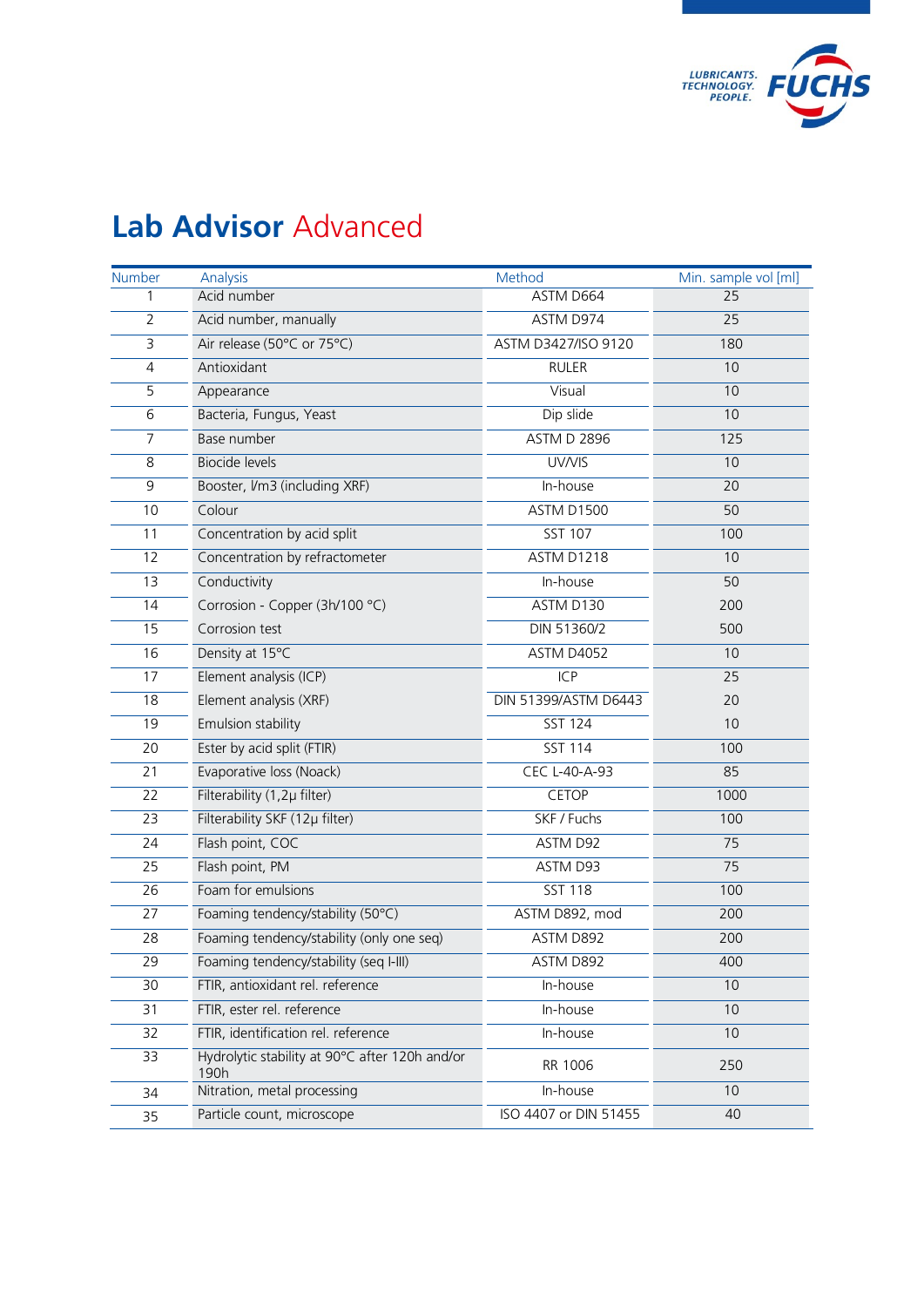

## **Lab Advisor** Advanced

| Number                  | Analysis                                               | Method                | Min. sample vol [ml] |
|-------------------------|--------------------------------------------------------|-----------------------|----------------------|
| 1                       | Acid number                                            | ASTM D664             | $\overline{25}$      |
| $\overline{2}$          | Acid number, manually                                  | ASTM D974             | 25                   |
| $\overline{\mathbf{3}}$ | Air release (50°C or 75°C)                             | ASTM D3427/ISO 9120   | 180                  |
| 4                       | Antioxidant                                            | <b>RULER</b>          | 10                   |
| 5                       | Appearance                                             | Visual                | 10                   |
| 6                       | Bacteria, Fungus, Yeast                                | Dip slide             | 10                   |
| 7                       | Base number                                            | <b>ASTM D 2896</b>    | 125                  |
| 8                       | <b>Biocide levels</b>                                  | UV/VIS                | 10                   |
| $\mathsf 9$             | Booster, Vm3 (including XRF)                           | In-house              | 20                   |
| 10                      | Colour                                                 | <b>ASTM D1500</b>     | 50                   |
| 11                      | Concentration by acid split                            | <b>SST 107</b>        | 100                  |
| 12                      | Concentration by refractometer                         | <b>ASTM D1218</b>     | 10                   |
| 13                      | Conductivity                                           | In-house              | 50                   |
| 14                      | Corrosion - Copper (3h/100 °C)                         | ASTM D130             | 200                  |
| 15                      | Corrosion test                                         | DIN 51360/2           | 500                  |
| 16                      | Density at 15°C                                        | <b>ASTM D4052</b>     | 10                   |
| 17                      | Element analysis (ICP)                                 | ICP                   | 25                   |
| 18                      | Element analysis (XRF)                                 | DIN 51399/ASTM D6443  | 20                   |
| 19                      | <b>Emulsion stability</b>                              | <b>SST 124</b>        | 10                   |
| 20                      | Ester by acid split (FTIR)                             | <b>SST 114</b>        | 100                  |
| 21                      | Evaporative loss (Noack)                               | <b>CEC L-40-A-93</b>  | 85                   |
| 22                      | Filterability (1,2µ filter)                            | <b>CETOP</b>          | 1000                 |
| 23                      | Filterability SKF (12µ filter)                         | SKF / Fuchs           | 100                  |
| 24                      | Flash point, COC                                       | ASTM D92              | 75                   |
| 25                      | Flash point, PM                                        | ASTM D93              | 75                   |
| 26                      | Foam for emulsions                                     | <b>SST 118</b>        | 100                  |
| 27                      | Foaming tendency/stability (50°C)                      | ASTM D892, mod        | 200                  |
| 28                      | Foaming tendency/stability (only one seq)              | ASTM D892             | 200                  |
| 29                      | Foaming tendency/stability (seq I-III)                 | ASTM D892             | 400                  |
| 30                      | FTIR, antioxidant rel. reference                       | In-house              | 10                   |
| 31                      | FTIR, ester rel. reference                             | In-house              | 10                   |
| 32                      | FTIR, identification rel. reference                    | In-house              | 10                   |
| 33                      | Hydrolytic stability at 90°C after 120h and/or<br>190h | RR 1006               | 250                  |
| 34                      | Nitration, metal processing                            | In-house              | 10                   |
| 35                      | Particle count, microscope                             | ISO 4407 or DIN 51455 | 40                   |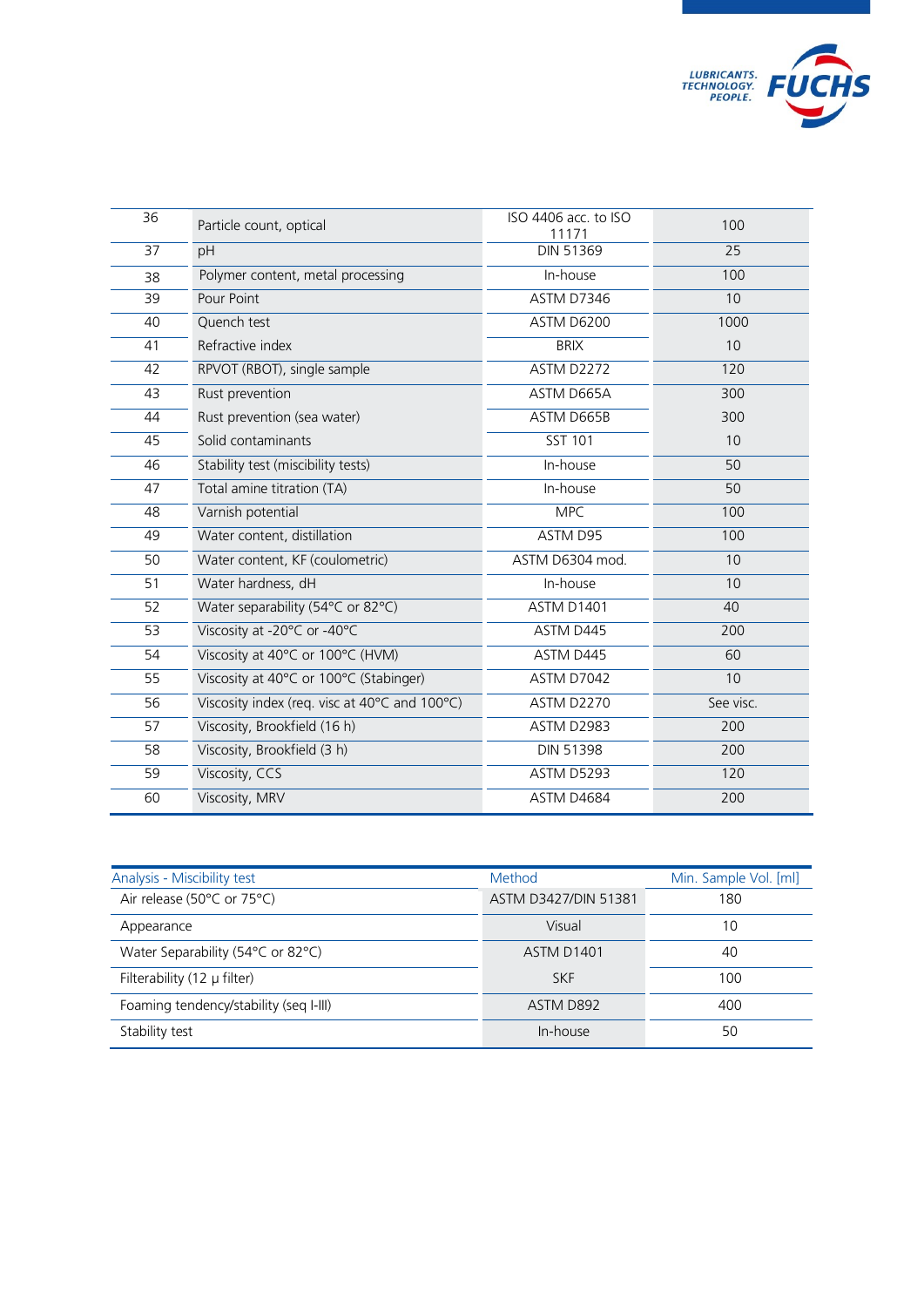

| $\overline{36}$ | Particle count, optical                       | ISO 4406 acc. to ISO<br>11171 | 100       |
|-----------------|-----------------------------------------------|-------------------------------|-----------|
| 37              | pH                                            | <b>DIN 51369</b>              | 25        |
| 38              | Polymer content, metal processing             | In-house                      | 100       |
| 39              | Pour Point                                    | <b>ASTM D7346</b>             | 10        |
| 40              | Quench test                                   | <b>ASTM D6200</b>             | 1000      |
| 41              | Refractive index                              | <b>BRIX</b>                   | 10        |
| 42              | RPVOT (RBOT), single sample                   | <b>ASTM D2272</b>             | 120       |
| 43              | Rust prevention                               | ASTM D665A                    | 300       |
| 44              | Rust prevention (sea water)                   | ASTM D665B                    | 300       |
| 45              | Solid contaminants                            | <b>SST 101</b>                | 10        |
| 46              | Stability test (miscibility tests)            | In-house                      | 50        |
| 47              | Total amine titration (TA)                    | In-house                      | 50        |
| 48              | Varnish potential                             | <b>MPC</b>                    | 100       |
| 49              | Water content, distillation                   | ASTM D95                      | 100       |
| 50              | Water content, KF (coulometric)               | ASTM D6304 mod.               | 10        |
| 51              | Water hardness, dH                            | In-house                      | 10        |
| 52              | Water separability (54°C or 82°C)             | <b>ASTM D1401</b>             | 40        |
| 53              | Viscosity at -20°C or -40°C                   | ASTM D445                     | 200       |
| 54              | Viscosity at 40°C or 100°C (HVM)              | ASTM D445                     | 60        |
| 55              | Viscosity at 40°C or 100°C (Stabinger)        | ASTM D7042                    | 10        |
| 56              | Viscosity index (req. visc at 40°C and 100°C) | ASTM D2270                    | See visc. |
| 57              | Viscosity, Brookfield (16 h)                  | ASTM D2983                    | 200       |
| 58              | Viscosity, Brookfield (3 h)                   | <b>DIN 51398</b>              | 200       |
| 59              | Viscosity, CCS                                | ASTM D5293                    | 120       |
| 60              | Viscosity, MRV                                | ASTM D4684                    | 200       |

| Analysis - Miscibility test             | Method               | Min. Sample Vol. [ml] |
|-----------------------------------------|----------------------|-----------------------|
| Air release (50°C or 75°C)              | ASTM D3427/DIN 51381 | 180                   |
| Appearance                              | Visual               | 10                    |
| Water Separability (54°C or 82°C)       | ASTM D1401           | 40                    |
| Filterability $(12 \mu \text{ filter})$ | <b>SKF</b>           | 100                   |
| Foaming tendency/stability (seq I-III)  | ASTM D892            | 400                   |
| Stability test                          | In-house             | 50                    |